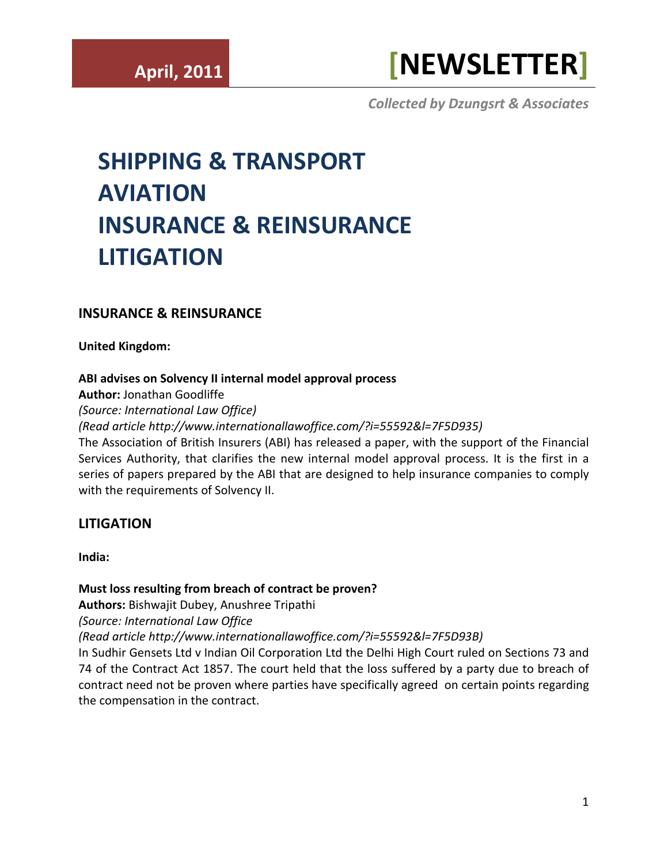# **LITIGATION**

**India:** 

## **[Must loss resulting from breach of contract be proven?](http://www.internationallawoffice.com/?i=55592&l=7F5D93B)**

**Authors:** [Bishwajit Dubey,](http://www.internationallawoffice.com/?i=55592&l=7F5D941) [Anushree Tripathi](http://www.internationallawoffice.com/?i=55592&l=7F5D947)

*(Source: International Law Office*

*[\(Read article](http://www.internationallawoffice.com/?i=55592&l=7F5D93B) [http://www.internationallawoffice.com/?i=55592&l=7F5D93B\)](http://www.internationallawoffice.com/?i=55592&l=7F5D93B)*

In Sudhir Gensets Ltd v Indian Oil Corporation Ltd the Delhi High Court ruled on Sections 73 and 74 of the Contract Act 1857. The court held that the loss suffered by a party due to breach of contract need not be proven where parties have specifically agreed on certain points regarding the compensation in the contract.